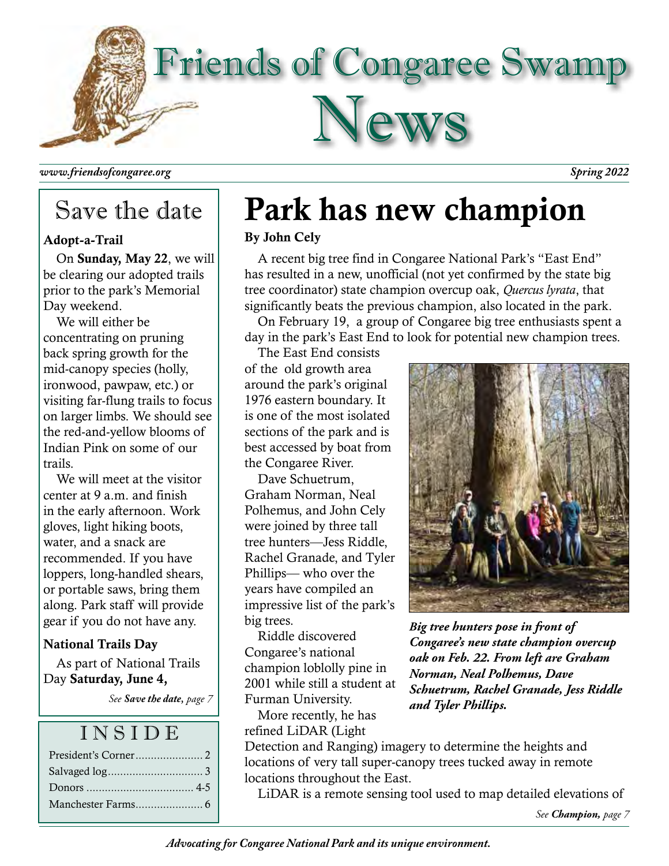

*www.friendsofcongaree.org Spring 2022*

# Save the date

### Adopt-a-Trail

On Sunday, May 22, we will be clearing our adopted trails prior to the park's Memorial Day weekend.

We will either be concentrating on pruning back spring growth for the mid-canopy species (holly, ironwood, pawpaw, etc.) or visiting far-flung trails to focus on larger limbs. We should see the red-and-yellow blooms of Indian Pink on some of our trails.

We will meet at the visitor center at 9 a.m. and finish in the early afternoon. Work gloves, light hiking boots, water, and a snack are recommended. If you have loppers, long-handled shears, or portable saws, bring them along. Park staff will provide gear if you do not have any.

## National Trails Day

As part of National Trails Day Saturday, June 4,

*See Save the date, page 7*

## I N S I D E

| Donors $\ldots$ 4-5 |
|---------------------|
|                     |

# Park has new champion

## By John Cely

A recent big tree find in Congaree National Park's "East End" has resulted in a new, unofficial (not yet confirmed by the state big tree coordinator) state champion overcup oak, *Quercus lyrata*, that significantly beats the previous champion, also located in the park.

On February 19, a group of Congaree big tree enthusiasts spent a day in the park's East End to look for potential new champion trees.

The East End consists of the old growth area around the park's original 1976 eastern boundary. It is one of the most isolated sections of the park and is best accessed by boat from the Congaree River.

Dave Schuetrum, Graham Norman, Neal Polhemus, and John Cely were joined by three tall tree hunters—Jess Riddle, Rachel Granade, and Tyler Phillips— who over the years have compiled an impressive list of the park's big trees.

Riddle discovered Congaree's national champion loblolly pine in 2001 while still a student at Furman University.

More recently, he has refined LiDAR (Light



*Big tree hunters pose in front of Congaree's new state champion overcup oak on Feb. 22. From left are Graham Norman, Neal Polhemus, Dave Schuetrum, Rachel Granade, Jess Riddle and Tyler Phillips.*

Detection and Ranging) imagery to determine the heights and locations of very tall super-canopy trees tucked away in remote locations throughout the East.

LiDAR is a remote sensing tool used to map detailed elevations of

*See Champion, page 7*

*Advocating for Congaree National Park and its unique environment.*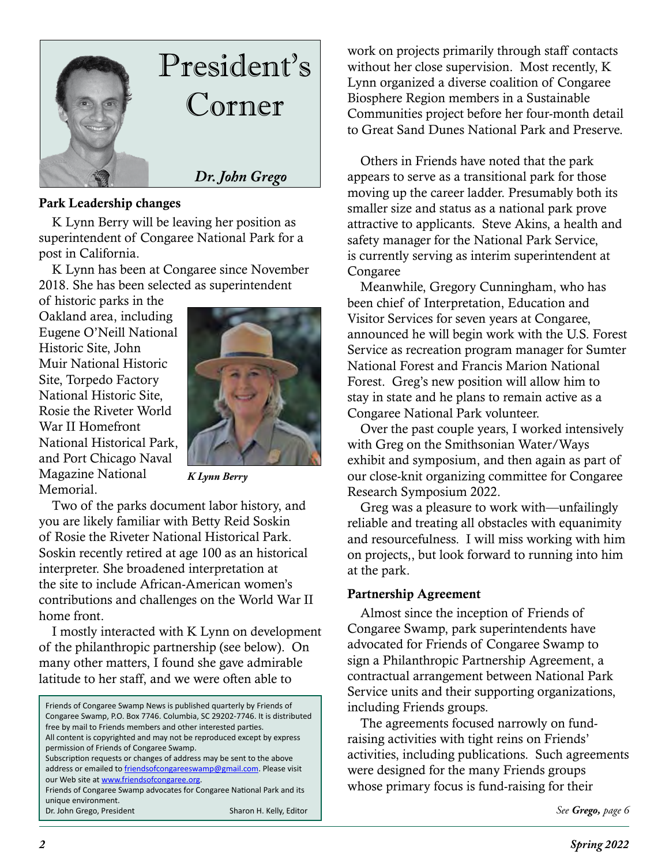

#### Park Leadership changes

K Lynn Berry will be leaving her position as superintendent of Congaree National Park for a post in California.

K Lynn has been at Congaree since November 2018. She has been selected as superintendent

of historic parks in the Oakland area, including Eugene O'Neill National Historic Site, John Muir National Historic Site, Torpedo Factory National Historic Site, Rosie the Riveter World War II Homefront National Historical Park, and Port Chicago Naval Magazine National Memorial.



*K Lynn Berry*

Two of the parks document labor history, and you are likely familiar with Betty Reid Soskin of Rosie the Riveter National Historical Park. Soskin recently retired at age 100 as an historical interpreter. She broadened interpretation at the site to include African-American women's contributions and challenges on the World War II home front.

I mostly interacted with K Lynn on development of the philanthropic partnership (see below). On many other matters, I found she gave admirable latitude to her staff, and we were often able to

| Friends of Congaree Swamp News is published quarterly by Friends of       |  |  |  |  |  |
|---------------------------------------------------------------------------|--|--|--|--|--|
| Congaree Swamp, P.O. Box 7746. Columbia, SC 29202-7746. It is distributed |  |  |  |  |  |
| free by mail to Friends members and other interested parties.             |  |  |  |  |  |
| All content is copyrighted and may not be reproduced except by express    |  |  |  |  |  |
| permission of Friends of Congaree Swamp.                                  |  |  |  |  |  |
| Subscription requests or changes of address may be sent to the above      |  |  |  |  |  |
| address or emailed to friendsofcongareeswamp@gmail.com. Please visit      |  |  |  |  |  |
| our Web site at www.friendsofcongaree.org.                                |  |  |  |  |  |
| Friends of Congaree Swamp advocates for Congaree National Park and its    |  |  |  |  |  |
| unique environment.                                                       |  |  |  |  |  |
| Dr. John Grego, President<br>Sharon H. Kelly, Editor                      |  |  |  |  |  |

work on projects primarily through staff contacts without her close supervision. Most recently, K Lynn organized a diverse coalition of Congaree Biosphere Region members in a Sustainable Communities project before her four-month detail to Great Sand Dunes National Park and Preserve.

Others in Friends have noted that the park appears to serve as a transitional park for those moving up the career ladder. Presumably both its smaller size and status as a national park prove attractive to applicants. Steve Akins, a health and safety manager for the National Park Service, is currently serving as interim superintendent at Congaree

Meanwhile, Gregory Cunningham, who has been chief of Interpretation, Education and Visitor Services for seven years at Congaree, announced he will begin work with the U.S. Forest Service as recreation program manager for Sumter National Forest and Francis Marion National Forest. Greg's new position will allow him to stay in state and he plans to remain active as a Congaree National Park volunteer.

Over the past couple years, I worked intensively with Greg on the Smithsonian Water/Ways exhibit and symposium, and then again as part of our close-knit organizing committee for Congaree Research Symposium 2022.

Greg was a pleasure to work with—unfailingly reliable and treating all obstacles with equanimity and resourcefulness. I will miss working with him on projects,, but look forward to running into him at the park.

### Partnership Agreement

Almost since the inception of Friends of Congaree Swamp, park superintendents have advocated for Friends of Congaree Swamp to sign a Philanthropic Partnership Agreement, a contractual arrangement between National Park Service units and their supporting organizations, including Friends groups.

The agreements focused narrowly on fundraising activities with tight reins on Friends' activities, including publications. Such agreements were designed for the many Friends groups whose primary focus is fund-raising for their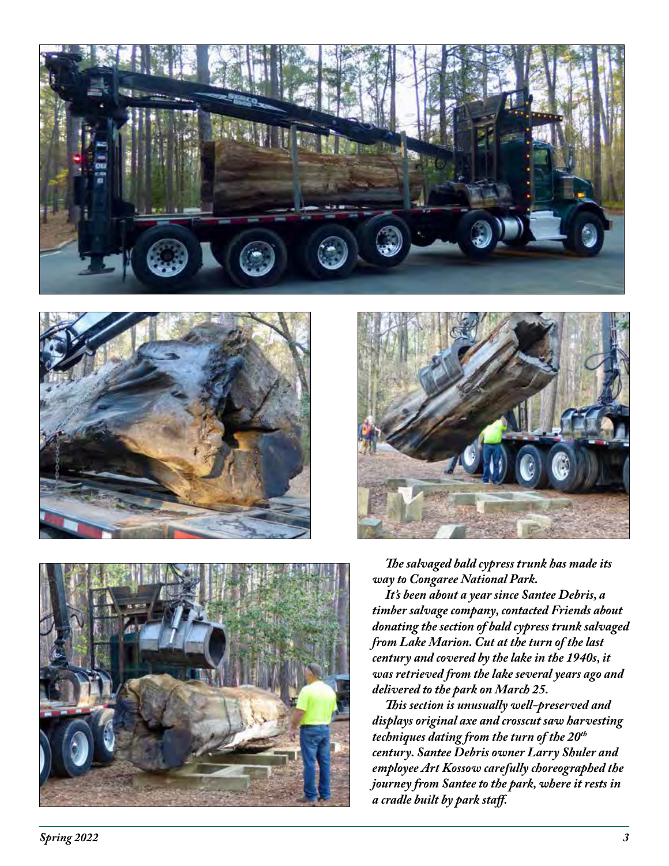







*The salvaged bald cypress trunk has made its way to Congaree National Park.*

*It's been about a year since Santee Debris, a timber salvage company, contacted Friends about donating the section of bald cypress trunk salvaged from Lake Marion. Cut at the turn of the last century and covered by the lake in the 1940s, it was retrieved from the lake several years ago and delivered to the park on March 25.* 

*This section is unusually well-preserved and displays original axe and crosscut saw harvesting techniques dating from the turn of the 20th century. Santee Debris owner Larry Shuler and employee Art Kossow carefully choreographed the journey from Santee to the park, where it rests in a cradle built by park staff.*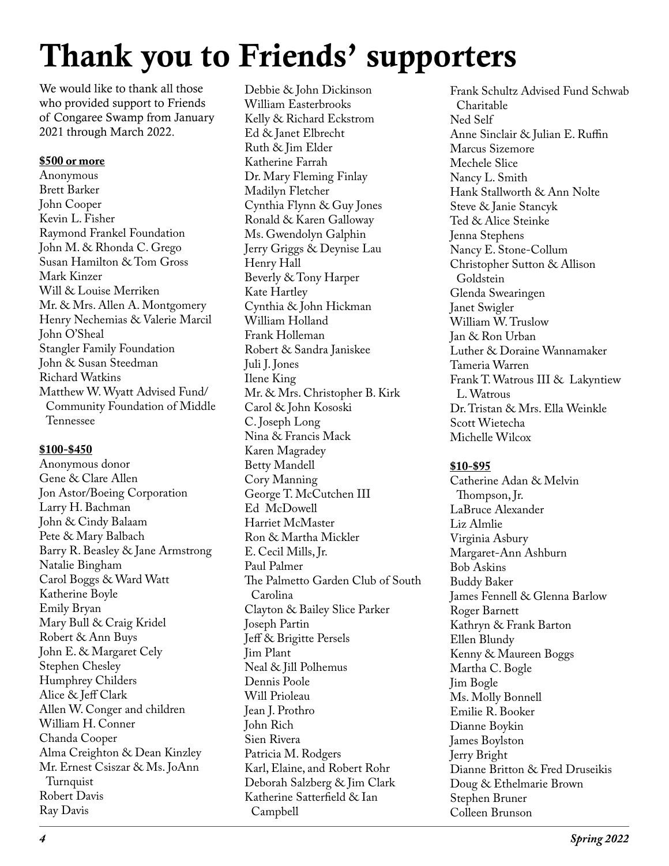# Thank you to Friends' supporters

We would like to thank all those who provided support to Friends of Congaree Swamp from January 2021 through March 2022.

#### **\$500 or more**

Anonymous Brett Barker John Cooper Kevin L. Fisher Raymond Frankel Foundation John M. & Rhonda C. Grego Susan Hamilton & Tom Gross Mark Kinzer Will & Louise Merriken Mr. & Mrs. Allen A. Montgomery Henry Nechemias & Valerie Marcil John O'Sheal Stangler Family Foundation John & Susan Steedman Richard Watkins Matthew W. Wyatt Advised Fund/ Community Foundation of Middle Tennessee

#### **\$100-\$450**

Anonymous donor Gene & Clare Allen Jon Astor/Boeing Corporation Larry H. Bachman John & Cindy Balaam Pete & Mary Balbach Barry R. Beasley & Jane Armstrong Natalie Bingham Carol Boggs & Ward Watt Katherine Boyle Emily Bryan Mary Bull & Craig Kridel Robert & Ann Buys John E. & Margaret Cely Stephen Chesley Humphrey Childers Alice & Jeff Clark Allen W. Conger and children William H. Conner Chanda Cooper Alma Creighton & Dean Kinzley Mr. Ernest Csiszar & Ms. JoAnn **Turnquist** Robert Davis Ray Davis

Debbie & John Dickinson William Easterbrooks Kelly & Richard Eckstrom Ed & Janet Elbrecht Ruth & Jim Elder Katherine Farrah Dr. Mary Fleming Finlay Madilyn Fletcher Cynthia Flynn & Guy Jones Ronald & Karen Galloway Ms. Gwendolyn Galphin Jerry Griggs & Deynise Lau Henry Hall Beverly & Tony Harper Kate Hartley Cynthia & John Hickman William Holland Frank Holleman Robert & Sandra Janiskee Juli J. Jones Ilene King Mr. & Mrs. Christopher B. Kirk Carol & John Kososki C. Joseph Long Nina & Francis Mack Karen Magradey Betty Mandell Cory Manning George T. McCutchen III Ed McDowell Harriet McMaster Ron & Martha Mickler E. Cecil Mills, Jr. Paul Palmer The Palmetto Garden Club of South Carolina Clayton & Bailey Slice Parker Joseph Partin Jeff & Brigitte Persels Jim Plant Neal & Jill Polhemus Dennis Poole Will Prioleau Jean J. Prothro John Rich Sien Rivera Patricia M. Rodgers Karl, Elaine, and Robert Rohr Deborah Salzberg & Jim Clark Katherine Satterfield & Ian Campbell

Frank Schultz Advised Fund Schwab Charitable Ned Self Anne Sinclair & Julian E. Ruffin Marcus Sizemore Mechele Slice Nancy L. Smith Hank Stallworth & Ann Nolte Steve & Janie Stancyk Ted & Alice Steinke Jenna Stephens Nancy E. Stone-Collum Christopher Sutton & Allison Goldstein Glenda Swearingen Janet Swigler William W. Truslow Jan & Ron Urban Luther & Doraine Wannamaker Tameria Warren Frank T. Watrous III & Lakyntiew L. Watrous Dr. Tristan & Mrs. Ella Weinkle Scott Wietecha Michelle Wilcox

#### **\$10-\$95**

Catherine Adan & Melvin Thompson, Jr. LaBruce Alexander Liz Almlie Virginia Asbury Margaret-Ann Ashburn Bob Askins Buddy Baker James Fennell & Glenna Barlow Roger Barnett Kathryn & Frank Barton Ellen Blundy Kenny & Maureen Boggs Martha C. Bogle Jim Bogle Ms. Molly Bonnell Emilie R. Booker Dianne Boykin James Boylston Jerry Bright Dianne Britton & Fred Druseikis Doug & Ethelmarie Brown Stephen Bruner Colleen Brunson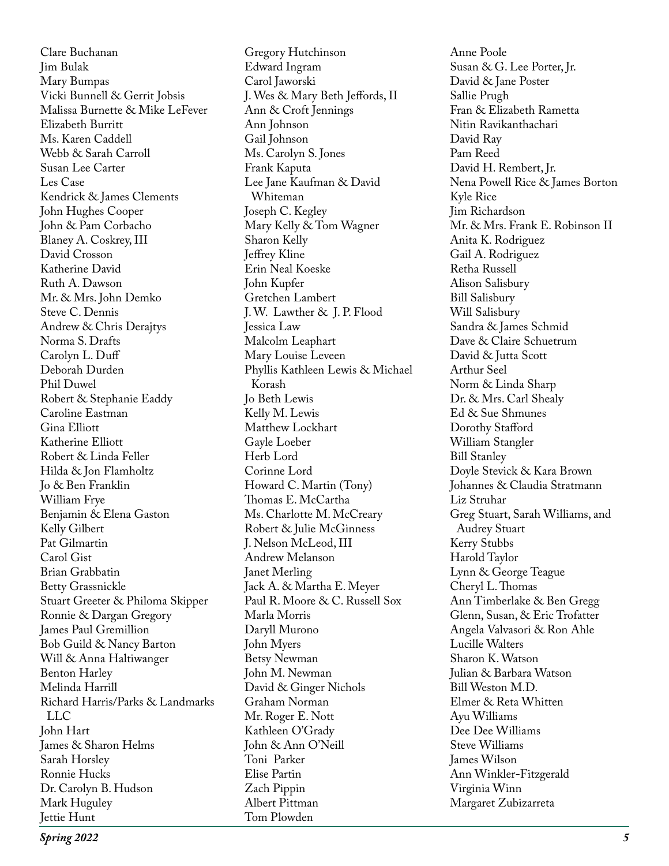Clare Buchanan Jim Bulak Mary Bumpas Vicki Bunnell & Gerrit Jobsis Malissa Burnette & Mike LeFever Elizabeth Burritt Ms. Karen Caddell Webb & Sarah Carroll Susan Lee Carter Les Case Kendrick & James Clements John Hughes Cooper John & Pam Corbacho Blaney A. Coskrey, III David Crosson Katherine David Ruth A. Dawson Mr. & Mrs. John Demko Steve C. Dennis Andrew & Chris Derajtys Norma S. Drafts Carolyn L. Duff Deborah Durden Phil Duwel Robert & Stephanie Eaddy Caroline Eastman Gina Elliott Katherine Elliott Robert & Linda Feller Hilda & Jon Flamholtz Jo & Ben Franklin William Frye Benjamin & Elena Gaston Kelly Gilbert Pat Gilmartin Carol Gist Brian Grabbatin Betty Grassnickle Stuart Greeter & Philoma Skipper Ronnie & Dargan Gregory James Paul Gremillion Bob Guild & Nancy Barton Will & Anna Haltiwanger Benton Harley Melinda Harrill Richard Harris/Parks & Landmarks LLC John Hart James & Sharon Helms Sarah Horsley Ronnie Hucks Dr. Carolyn B. Hudson Mark Huguley Jettie Hunt

Gregory Hutchinson Edward Ingram Carol Jaworski J. Wes & Mary Beth Jeffords, II Ann & Croft Jennings Ann Johnson Gail Johnson Ms. Carolyn S. Jones Frank Kaputa Lee Jane Kaufman & David Whiteman Joseph C. Kegley Mary Kelly & Tom Wagner Sharon Kelly Jeffrey Kline Erin Neal Koeske John Kupfer Gretchen Lambert J. W. Lawther & J. P. Flood Jessica Law Malcolm Leaphart Mary Louise Leveen Phyllis Kathleen Lewis & Michael Korash Jo Beth Lewis Kelly M. Lewis Matthew Lockhart Gayle Loeber Herb Lord Corinne Lord Howard C. Martin (Tony) Thomas E. McCartha Ms. Charlotte M. McCreary Robert & Julie McGinness J. Nelson McLeod, III Andrew Melanson Janet Merling Jack A. & Martha E. Meyer Paul R. Moore & C. Russell Sox Marla Morris Daryll Murono John Myers Betsy Newman John M. Newman David & Ginger Nichols Graham Norman Mr. Roger E. Nott Kathleen O'Grady John & Ann O'Neill Toni Parker Elise Partin Zach Pippin Albert Pittman Tom Plowden

Anne Poole Susan & G. Lee Porter, Jr. David & Jane Poster Sallie Prugh Fran & Elizabeth Rametta Nitin Ravikanthachari David Ray Pam Reed David H. Rembert, Jr. Nena Powell Rice & James Borton Kyle Rice Jim Richardson Mr. & Mrs. Frank E. Robinson II Anita K. Rodriguez Gail A. Rodriguez Retha Russell Alison Salisbury Bill Salisbury Will Salisbury Sandra & James Schmid Dave & Claire Schuetrum David & Jutta Scott Arthur Seel Norm & Linda Sharp Dr. & Mrs. Carl Shealy Ed & Sue Shmunes Dorothy Stafford William Stangler Bill Stanley Doyle Stevick & Kara Brown Johannes & Claudia Stratmann Liz Struhar Greg Stuart, Sarah Williams, and Audrey Stuart Kerry Stubbs Harold Taylor Lynn & George Teague Cheryl L. Thomas Ann Timberlake & Ben Gregg Glenn, Susan, & Eric Trofatter Angela Valvasori & Ron Ahle Lucille Walters Sharon K. Watson Julian & Barbara Watson Bill Weston M.D. Elmer & Reta Whitten Ayu Williams Dee Dee Williams Steve Williams James Wilson Ann Winkler-Fitzgerald Virginia Winn Margaret Zubizarreta

*Spring 2022 5*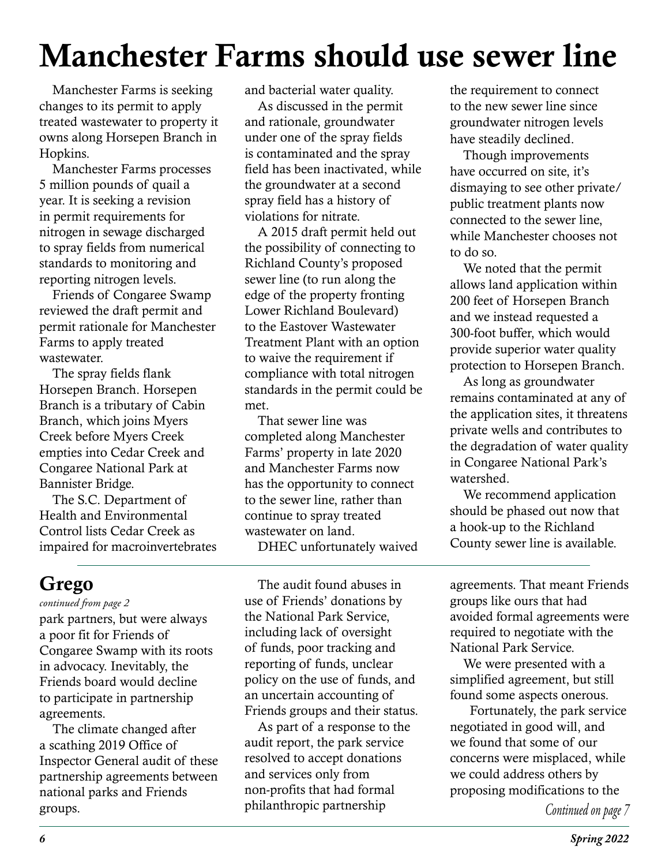# Manchester Farms should use sewer line

Manchester Farms is seeking changes to its permit to apply treated wastewater to property it owns along Horsepen Branch in Hopkins.

Manchester Farms processes 5 million pounds of quail a year. It is seeking a revision in permit requirements for nitrogen in sewage discharged to spray fields from numerical standards to monitoring and reporting nitrogen levels.

Friends of Congaree Swamp reviewed the draft permit and permit rationale for Manchester Farms to apply treated wastewater.

The spray fields flank Horsepen Branch. Horsepen Branch is a tributary of Cabin Branch, which joins Myers Creek before Myers Creek empties into Cedar Creek and Congaree National Park at Bannister Bridge.

The S.C. Department of Health and Environmental Control lists Cedar Creek as impaired for macroinvertebrates and bacterial water quality.

As discussed in the permit and rationale, groundwater under one of the spray fields is contaminated and the spray field has been inactivated, while the groundwater at a second spray field has a history of violations for nitrate.

A 2015 draft permit held out the possibility of connecting to Richland County's proposed sewer line (to run along the edge of the property fronting Lower Richland Boulevard) to the Eastover Wastewater Treatment Plant with an option to waive the requirement if compliance with total nitrogen standards in the permit could be met.

That sewer line was completed along Manchester Farms' property in late 2020 and Manchester Farms now has the opportunity to connect to the sewer line, rather than continue to spray treated wastewater on land. DHEC unfortunately waived the requirement to connect to the new sewer line since groundwater nitrogen levels have steadily declined.

Though improvements have occurred on site, it's dismaying to see other private/ public treatment plants now connected to the sewer line, while Manchester chooses not to do so.

We noted that the permit allows land application within 200 feet of Horsepen Branch and we instead requested a 300-foot buffer, which would provide superior water quality protection to Horsepen Branch.

As long as groundwater remains contaminated at any of the application sites, it threatens private wells and contributes to the degradation of water quality in Congaree National Park's watershed.

We recommend application should be phased out now that a hook-up to the Richland County sewer line is available.

## Grego

#### *continued from page 2*

park partners, but were always a poor fit for Friends of Congaree Swamp with its roots in advocacy. Inevitably, the Friends board would decline to participate in partnership agreements.

The climate changed after a scathing 2019 Office of Inspector General audit of these partnership agreements between national parks and Friends groups.

The audit found abuses in use of Friends' donations by the National Park Service, including lack of oversight of funds, poor tracking and reporting of funds, unclear policy on the use of funds, and an uncertain accounting of Friends groups and their status.

As part of a response to the audit report, the park service resolved to accept donations and services only from non-profits that had formal philanthropic partnership

agreements. That meant Friends groups like ours that had avoided formal agreements were required to negotiate with the National Park Service.

We were presented with a simplified agreement, but still found some aspects onerous.

 Fortunately, the park service negotiated in good will, and we found that some of our concerns were misplaced, while we could address others by proposing modifications to the

*Continued on page 7*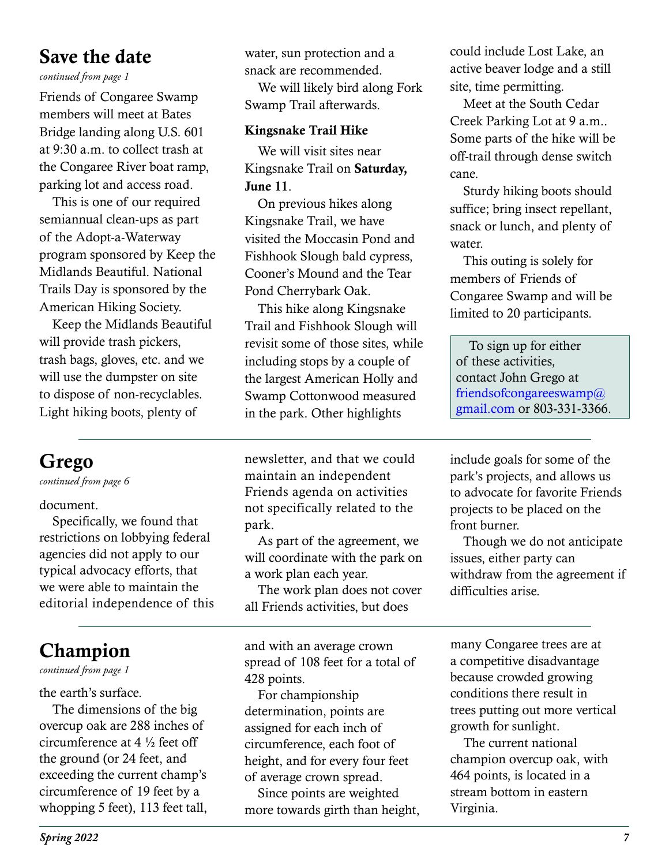## Save the date

*continued from page 1*

Friends of Congaree Swamp members will meet at Bates Bridge landing along U.S. 601 at 9:30 a.m. to collect trash at the Congaree River boat ramp, parking lot and access road.

This is one of our required semiannual clean-ups as part of the Adopt-a-Waterway program sponsored by Keep the Midlands Beautiful. National Trails Day is sponsored by the American Hiking Society.

Keep the Midlands Beautiful will provide trash pickers, trash bags, gloves, etc. and we will use the dumpster on site to dispose of non-recyclables. Light hiking boots, plenty of

water, sun protection and a snack are recommended.

We will likely bird along Fork Swamp Trail afterwards.

#### Kingsnake Trail Hike

We will visit sites near Kingsnake Trail on Saturday, June 11.

On previous hikes along Kingsnake Trail, we have visited the Moccasin Pond and Fishhook Slough bald cypress, Cooner's Mound and the Tear Pond Cherrybark Oak.

This hike along Kingsnake Trail and Fishhook Slough will revisit some of those sites, while including stops by a couple of the largest American Holly and Swamp Cottonwood measured in the park. Other highlights

could include Lost Lake, an active beaver lodge and a still site, time permitting.

Meet at the South Cedar Creek Parking Lot at 9 a.m.. Some parts of the hike will be off-trail through dense switch cane.

Sturdy hiking boots should suffice; bring insect repellant, snack or lunch, and plenty of water.

This outing is solely for members of Friends of Congaree Swamp and will be limited to 20 participants.

To sign up for either of these activities, contact John Grego at friendsofcongareeswamp@ gmail.com or 803-331-3366.

# Grego

*continued from page 6*

document.

Specifically, we found that restrictions on lobbying federal agencies did not apply to our typical advocacy efforts, that we were able to maintain the editorial independence of this

# Champion

### *continued from page 1*

the earth's surface.

The dimensions of the big overcup oak are 288 inches of circumference at 4 ½ feet off the ground (or 24 feet, and exceeding the current champ's circumference of 19 feet by a whopping 5 feet), 113 feet tall, newsletter, and that we could maintain an independent Friends agenda on activities not specifically related to the park.

As part of the agreement, we will coordinate with the park on a work plan each year.

The work plan does not cover all Friends activities, but does

and with an average crown spread of 108 feet for a total of 428 points.

For championship determination, points are assigned for each inch of circumference, each foot of height, and for every four feet of average crown spread.

Since points are weighted more towards girth than height, include goals for some of the park's projects, and allows us to advocate for favorite Friends projects to be placed on the front burner.

Though we do not anticipate issues, either party can withdraw from the agreement if difficulties arise.

many Congaree trees are at a competitive disadvantage because crowded growing conditions there result in trees putting out more vertical growth for sunlight.

The current national champion overcup oak, with 464 points, is located in a stream bottom in eastern Virginia.